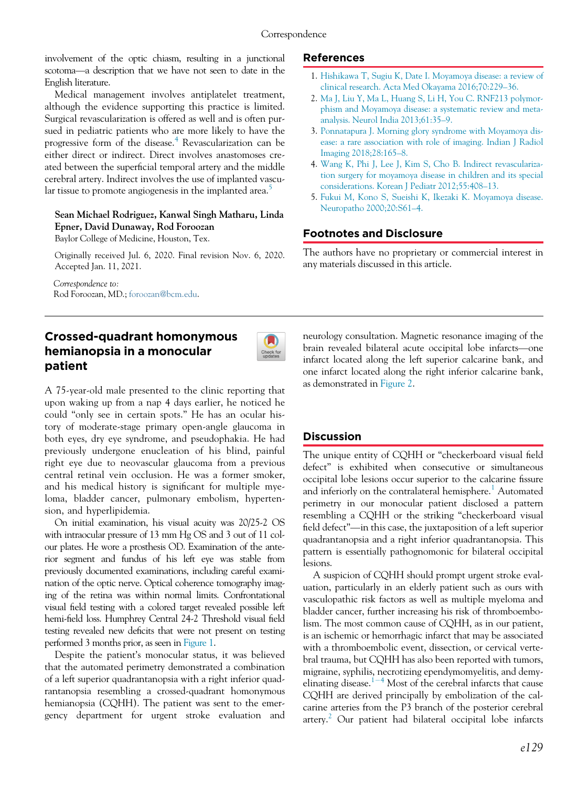involvement of the optic chiasm, resulting in a junctional scotoma—a description that we have not seen to date in the English literature.

Medical management involves antiplatelet treatment, although the evidence supporting this practice is limited. Surgical revascularization is offered as well and is often pursued in pediatric patients who are more likely to have the progressive form of the disease.[4](#page-0-0) Revascularization can be either direct or indirect. Direct involves anastomoses created between the superficial temporal artery and the middle cerebral artery. Indirect involves the use of implanted vascu-lar tissue to promote angiogenesis in the implanted area.<sup>[5](#page-0-1)</sup>

#### <span id="page-0-1"></span><span id="page-0-0"></span>Sean Michael Rodriguez, Kanwal Singh Matharu, Linda Epner, David Dunaway, Rod Foroozan

Baylor College of Medicine, Houston, Tex.

Originally received Jul. 6, 2020. Final revision Nov. 6, 2020. Accepted Jan. 11, 2021.

Correspondence to: Rod Foroozan, MD.; [foroozan@bcm.edu](mailto:foroozan@bcm.edu).

# Crossed-quadrant homonymous hemianopsia in a monocular patient



A 75-year-old male presented to the clinic reporting that upon waking up from a nap 4 days earlier, he noticed he could "only see in certain spots." He has an ocular history of moderate-stage primary open-angle glaucoma in both eyes, dry eye syndrome, and pseudophakia. He had previously undergone enucleation of his blind, painful right eye due to neovascular glaucoma from a previous central retinal vein occlusion. He was a former smoker, and his medical history is significant for multiple myeloma, bladder cancer, pulmonary embolism, hypertension, and hyperlipidemia.

On initial examination, his visual acuity was 20/25-2 OS with intraocular pressure of 13 mm Hg OS and 3 out of 11 colour plates. He wore a prosthesis OD. Examination of the anterior segment and fundus of his left eye was stable from previously documented examinations, including careful examination of the optic nerve. Optical coherence tomography imaging of the retina was within normal limits. Confrontational visual field testing with a colored target revealed possible left hemi-field loss. Humphrey Central 24-2 Threshold visual field testing revealed new deficits that were not present on testing performed 3 months prior, as seen in [Figure 1](#page-1-0).

Despite the patient's monocular status, it was believed that the automated perimetry demonstrated a combination of a left superior quadrantanopsia with a right inferior quadrantanopsia resembling a crossed-quadrant homonymous hemianopsia (CQHH). The patient was sent to the emergency department for urgent stroke evaluation and

## References

- 1. [Hishikawa T, Sugiu K, Date I. Moyamoya disease: a review of](http://refhub.elsevier.com/S0008-4182(21)00020-X/sbref0001_2069) [clinical research. Acta Med Okayama 2016;70:229](http://refhub.elsevier.com/S0008-4182(21)00020-X/sbref0001_2069)–36.
- 2. [Ma J, Liu Y, Ma L, Huang S, Li H, You C. RNF213 polymor](http://refhub.elsevier.com/S0008-4182(21)00020-X/sbref0002_2069)[phism and Moyamoya disease: a systematic review and meta](http://refhub.elsevier.com/S0008-4182(21)00020-X/sbref0002_2069)[analysis. Neurol India 2013;61:35](http://refhub.elsevier.com/S0008-4182(21)00020-X/sbref0002_2069)–9.
- 3. [Ponnatapura J. Morning glory syndrome with Moyamoya dis](http://refhub.elsevier.com/S0008-4182(21)00020-X/sbref0003_2069)[ease: a rare association with role of imaging. Indian J Radiol](http://refhub.elsevier.com/S0008-4182(21)00020-X/sbref0003_2069) [Imaging 2018;28:165](http://refhub.elsevier.com/S0008-4182(21)00020-X/sbref0003_2069)–8.
- 4. [Wang K, Phi J, Lee J, Kim S, Cho B. Indirect revasculariza](http://refhub.elsevier.com/S0008-4182(21)00020-X/sbref0004_2069)[tion surgery for moyamoya disease in children and its special](http://refhub.elsevier.com/S0008-4182(21)00020-X/sbref0004_2069) [considerations. Korean J Pediatr 2012;55:408](http://refhub.elsevier.com/S0008-4182(21)00020-X/sbref0004_2069)–13.
- 5. [Fukui M, Kono S, Sueishi K, Ikezaki K. Moyamoya disease.](http://refhub.elsevier.com/S0008-4182(21)00020-X/sbref0005_2069) [Neuropatho 2000;20:S61](http://refhub.elsevier.com/S0008-4182(21)00020-X/sbref0005_2069)–4.

## Footnotes and Disclosure

The authors have no proprietary or commercial interest in any materials discussed in this article.

neurology consultation. Magnetic resonance imaging of the brain revealed bilateral acute occipital lobe infarcts—one infarct located along the left superior calcarine bank, and one infarct located along the right inferior calcarine bank, as demonstrated in [Figure 2](#page-1-1).

#### Discussion

The unique entity of CQHH or "checkerboard visual field defect" is exhibited when consecutive or simultaneous occipital lobe lesions occur superior to the calcarine fissure and inferiorly on the contralateral hemisphere.<sup>[1](#page-2-0)</sup> Automated perimetry in our monocular patient disclosed a pattern resembling a CQHH or the striking "checkerboard visual field defect"—in this case, the juxtaposition of a left superior quadrantanopsia and a right inferior quadrantanopsia. This pattern is essentially pathognomonic for bilateral occipital lesions.

A suspicion of CQHH should prompt urgent stroke evaluation, particularly in an elderly patient such as ours with vasculopathic risk factors as well as multiple myeloma and bladder cancer, further increasing his risk of thromboembolism. The most common cause of CQHH, as in our patient, is an ischemic or hemorrhagic infarct that may be associated with a thromboembolic event, dissection, or cervical vertebral trauma, but CQHH has also been reported with tumors, migraine, syphilis, necrotizing ependymomyelitis, and demy-elinating disease.<sup>[1](#page-2-0)-[4](#page-2-0)</sup> Most of the cerebral infarcts that cause CQHH are derived principally by embolization of the calcarine arteries from the P3 branch of the posterior cerebral artery.<sup>[2](#page-2-1)</sup> Our patient had bilateral occipital lobe infarcts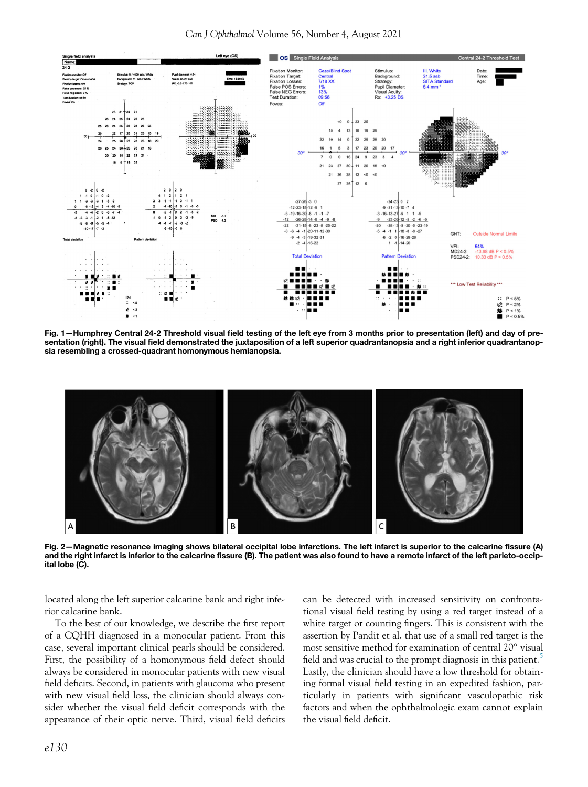<span id="page-1-0"></span>

<span id="page-1-1"></span>Fig. 1—Humphrey Central 24-2 Threshold visual field testing of the left eye from 3 months prior to presentation (left) and day of presentation (right). The visual field demonstrated the juxtaposition of a left superior quadrantanopsia and a right inferior quadrantanopsia resembling a crossed-quadrant homonymous hemianopsia.



Fig. 2—Magnetic resonance imaging shows bilateral occipital lobe infarctions. The left infarct is superior to the calcarine fissure (A) and the right infarct is inferior to the calcarine fissure (B). The patient was also found to have a remote infarct of the left parieto-occipital lobe (C).

located along the left superior calcarine bank and right inferior calcarine bank.

To the best of our knowledge, we describe the first report of a CQHH diagnosed in a monocular patient. From this case, several important clinical pearls should be considered. First, the possibility of a homonymous field defect should always be considered in monocular patients with new visual field deficits. Second, in patients with glaucoma who present with new visual field loss, the clinician should always consider whether the visual field deficit corresponds with the appearance of their optic nerve. Third, visual field deficits can be detected with increased sensitivity on confrontational visual field testing by using a red target instead of a white target or counting fingers. This is consistent with the assertion by Pandit et al. that use of a small red target is the most sensitive method for examination of central 20° visual field and was crucial to the prompt diagnosis in this patient.<sup>[5](#page-2-2)</sup> Lastly, the clinician should have a low threshold for obtaining formal visual field testing in an expedited fashion, particularly in patients with significant vasculopathic risk factors and when the ophthalmologic exam cannot explain the visual field deficit.